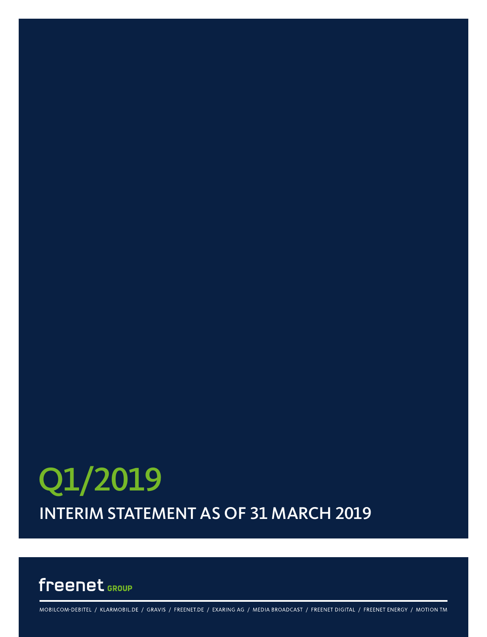# INTERIM STATEMENT AS OF 31 MARCH 2019 Q1/2019

## freenet GROUP

MOBILCOM-DEBITEL / KLARMOBIL.DE / GRAVIS / FREENET.DE / EXARING AG / MEDIA BROADCAST / FREENET DIGITAL / FREENET ENERGY / MOTION TM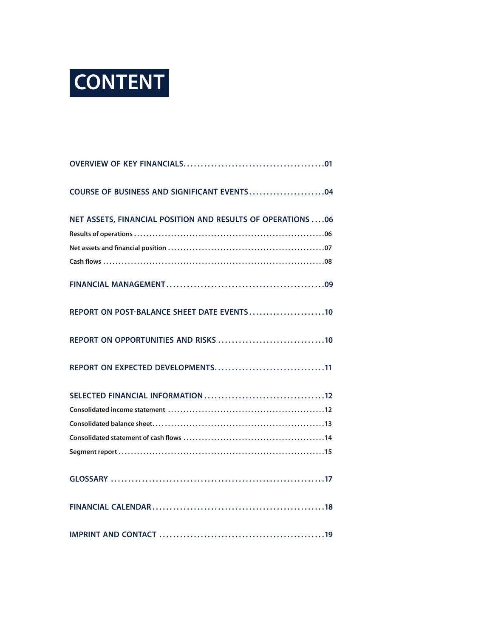# **CONTENT**

| NET ASSETS, FINANCIAL POSITION AND RESULTS OF OPERATIONS  06 |
|--------------------------------------------------------------|
|                                                              |
| REPORT ON POST-BALANCE SHEET DATE EVENTS10                   |
|                                                              |
| REPORT ON EXPECTED DEVELOPMENTS11                            |
|                                                              |
|                                                              |
|                                                              |
|                                                              |
|                                                              |
|                                                              |
|                                                              |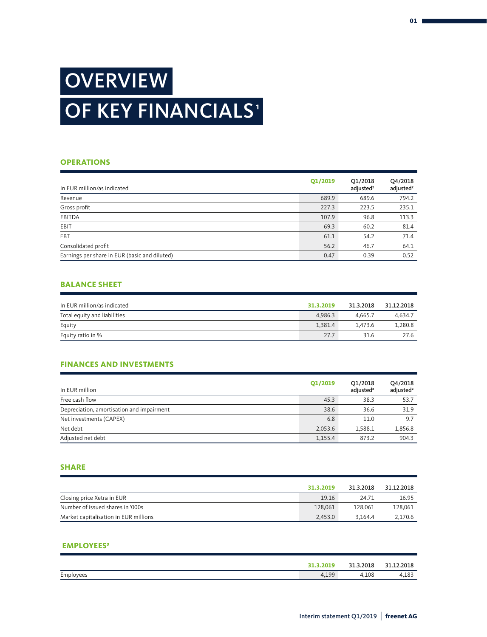## **OVERVIEW** OF KEY FINANCIALS<sup>®</sup>

### **OPERATIONS**

| In EUR million/as indicated                   | Q1/2019 | Q1/2018<br>adjusted <sup>2</sup> | Q4/2018<br>adjusted <sup>2</sup> |
|-----------------------------------------------|---------|----------------------------------|----------------------------------|
| Revenue                                       | 689.9   | 689.6                            | 794.2                            |
| Gross profit                                  | 227.3   | 223.5                            | 235.1                            |
| <b>EBITDA</b>                                 | 107.9   | 96.8                             | 113.3                            |
| EBIT                                          | 69.3    | 60.2                             | 81.4                             |
| <b>EBT</b>                                    | 61.1    | 54.2                             | 71.4                             |
| Consolidated profit                           | 56.2    | 46.7                             | 64.1                             |
| Earnings per share in EUR (basic and diluted) | 0.47    | 0.39                             | 0.52                             |

### **BALANCE SHEET**

| In EUR million/as indicated  | 31.3.2019 | 31.3.2018 | 31.12.2018 |
|------------------------------|-----------|-----------|------------|
| Total equity and liabilities | 4.986.3   | 4.665.7   | 4.634.7    |
| Equity                       | 1.381.4   | 1.473.6   | 1,280.8    |
| Equity ratio in %            | 27.7      | 31.6      | 27.6       |

## **FINANCES AND INVESTMENTS**

| In EUR million                            | Q1/2019 | Q1/2018<br>adjusted <sup>2</sup> | Q4/2018<br>adjusted <sup>2</sup> |
|-------------------------------------------|---------|----------------------------------|----------------------------------|
| Free cash flow                            | 45.3    | 38.3                             | 53.7                             |
| Depreciation, amortisation and impairment | 38.6    | 36.6                             | 31.9                             |
| Net investments (CAPEX)                   | 6.8     | 11.0                             | 9.7                              |
| Net debt                                  | 2,053.6 | 1,588.1                          | 1,856.8                          |
| Adjusted net debt                         | 1,155.4 | 873.2                            | 904.3                            |

### **SHARE**

|                                       | 31.3.2019 | 31.3.2018 | 31.12.2018 |
|---------------------------------------|-----------|-----------|------------|
| Closing price Xetra in EUR            | 19.16     | 24.71     | 16.95      |
| Number of issued shares in '000s      | 128,061   | 128,061   | 128.061    |
| Market capitalisation in EUR millions | 2.453.0   | 3.164.4   | 2.170.6    |

### **EMPLOYEES3**

|           | 31.3.2019 | 31.3.2018 | 21<br>.12.2018 |
|-----------|-----------|-----------|----------------|
| Employees | 4,199     | 4.108     | 4,183          |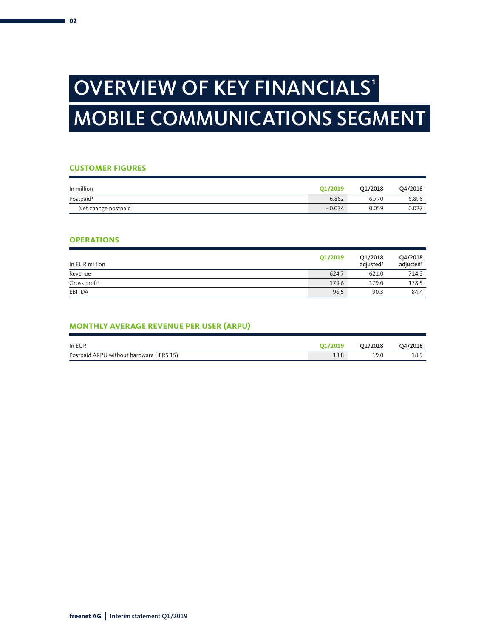## OVERVIEW OF KEY FINANCIALS' MOBILE COMMUNICATIONS SEGMENT

### **CUSTOMER FIGURES**

| In million            | O1/2019  | O1/2018 | Q4/2018 |
|-----------------------|----------|---------|---------|
| Postpaid <sup>3</sup> | 6.862    | 6.770   | 6.896   |
| Net change postpaid   | $-0.034$ | 0.059   | 0.027   |

### **OPERATIONS**

| In EUR million | Q1/2019 | O1/2018<br>adiusted <sup>2</sup> | Q4/2018<br>adjusted <sup>2</sup> |
|----------------|---------|----------------------------------|----------------------------------|
| Revenue        | 624.7   | 621.0                            | 714.3                            |
| Gross profit   | 179.6   | 179.0                            | 178.5                            |
| EBITDA         | 96.5    | 90.3                             | 84.4                             |

## **MONTHLY AVERAGE REVENUE PER USER (ARPU)**

| In EUR                                   | O1/2019 | 01/2018 | O4/2018 |
|------------------------------------------|---------|---------|---------|
| Postpaid ARPU without hardware (IFRS 15) | 18.8    | 19.0    | 18.9    |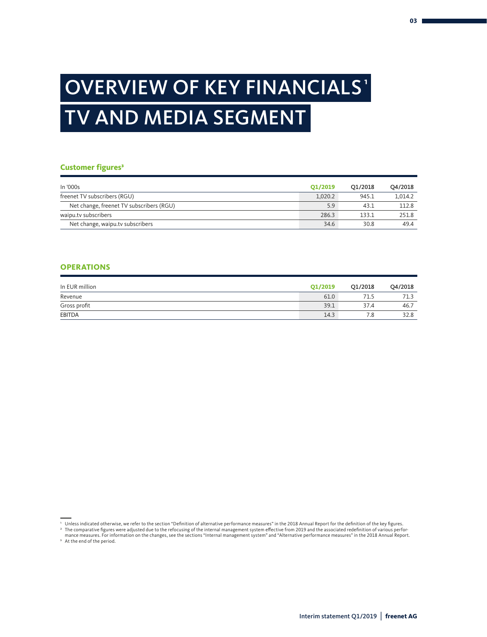## OVERVIEW OF KEY FINANCIALS' TV AND MEDIA SEGMENT

#### **Customer figures<sup>3</sup>**

| In '000s                                 | Q1/2019 | O1/2018 | O4/2018 |
|------------------------------------------|---------|---------|---------|
| freenet TV subscribers (RGU)             | 1.020.2 | 945.1   | 1.014.2 |
| Net change, freenet TV subscribers (RGU) | 5.9     | 43.1    | 112.8   |
| waipu.ty subscribers                     | 286.3   | 133.1   | 251.8   |
| Net change, waipu.tv subscribers         | 34.6    | 30.8    | 49.4    |

### **OPERATIONS**

| In EUR million | Q1/2019 | Q1/2018 | Q4/2018 |
|----------------|---------|---------|---------|
| Revenue        | 61.0    | 71.5    | 71.3    |
| Gross profit   | 39.1    | 37.4    | 46.7    |
| <b>EBITDA</b>  | 14.3    | 1.8     | 32.8    |

' Unless indicated otherwise, we refer to the section "Definition of alternative performance measures" in the 2018 Annual Report for the definition of the key figures.<br>ªThe comparative figures were adjusted due to the ref

mance measures. For information on the changes, see the sections "Internal management system" and "Alternative performance measures" in the 2018 Annual Report.

<sup>3</sup> At the end of the period.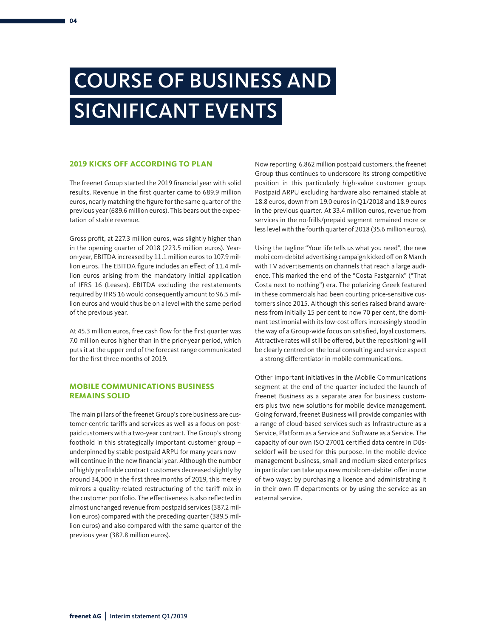## COURSE OF BUSINESS AND SIGNIFICANT EVENTS

### **2019 KICKS OFF ACCORDING TO PLAN**

The freenet Group started the 2019 financial year with solid results. Revenue in the first quarter came to 689.9 million euros, nearly matching the figure for the same quarter of the previous year (689.6 million euros). This bears out the expectation of stable revenue.

Gross profit, at 227.3 million euros, was slightly higher than in the opening quarter of 2018 (223.5 million euros). Yearon-year, EBITDA increased by 11.1 million euros to 107.9 million euros. The EBITDA figure includes an effect of 11.4 million euros arising from the mandatory initial application of IFRS 16 (Leases). EBITDA excluding the restatements required by IFRS 16 would consequently amount to 96.5 million euros and would thus be on a level with the same period of the previous year.

At 45.3 million euros, free cash flow for the first quarter was 7.0 million euros higher than in the prior-year period, which puts it at the upper end of the forecast range communicated for the first three months of 2019.

### **MOBILE COMMUNICATIONS BUSINESS REMAINS SOLID**

The main pillars of the freenet Group's core business are customer-centric tariffs and services as well as a focus on postpaid customers with a two-year contract. The Group's strong foothold in this strategically important customer group – underpinned by stable postpaid ARPU for many years now – will continue in the new financial year. Although the number of highly profitable contract customers decreased slightly by around 34,000 in the first three months of 2019, this merely mirrors a quality-related restructuring of the tariff mix in the customer portfolio. The effectiveness is also reflected in almost unchanged revenue from postpaid services (387.2 million euros) compared with the preceding quarter (389.5 million euros) and also compared with the same quarter of the previous year (382.8 million euros).

Now reporting 6.862 million postpaid customers, the freenet Group thus continues to underscore its strong competitive position in this particularly high-value customer group. Postpaid ARPU excluding hardware also remained stable at 18.8 euros, down from 19.0 euros in Q1/2018 and 18.9 euros in the previous quarter. At 33.4 million euros, revenue from services in the no-frills/prepaid segment remained more or less level with the fourth quarter of 2018 (35.6 million euros).

Using the tagline "Your life tells us what you need", the new mobilcom-debitel advertising campaign kicked off on 8 March with TV advertisements on channels that reach a large audience. This marked the end of the "Costa Fastgarnix" ("That Costa next to nothing") era. The polarizing Greek featured in these commercials had been courting price-sensitive customers since 2015. Although this series raised brand awareness from initially 15 per cent to now 70 per cent, the dominant testimonial with its low-cost offers increasingly stood in the way of a Group-wide focus on satisfied, loyal customers. Attractive rates will still be offered, but the repositioning will be clearly centred on the local consulting and service aspect – a strong differentiator in mobile communications.

Other important initiatives in the Mobile Communications segment at the end of the quarter included the launch of freenet Business as a separate area for business customers plus two new solutions for mobile device management. Going forward, freenet Business will provide companies with a range of cloud-based services such as Infrastructure as a Service, Platform as a Service and Software as a Service. The capacity of our own ISO 27001 certified data centre in Düsseldorf will be used for this purpose. In the mobile device management business, small and medium-sized enterprises in particular can take up a new mobilcom-debitel offer in one of two ways: by purchasing a licence and administrating it in their own IT departments or by using the service as an external service.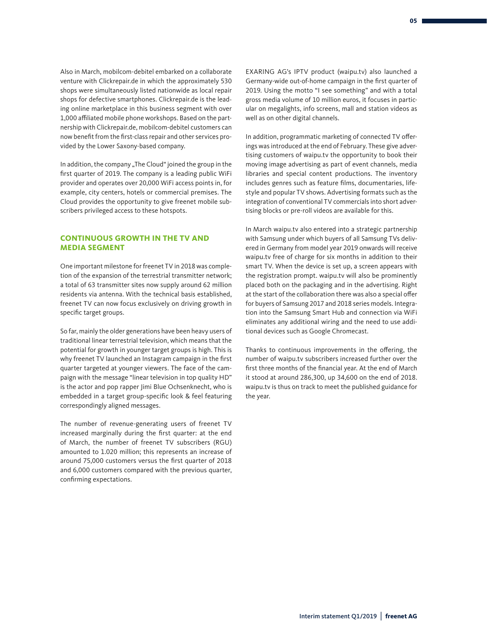Also in March, mobilcom-debitel embarked on a collaborate venture with Clickrepair.de in which the approximately 530 shops were simultaneously listed nationwide as local repair shops for defective smartphones. Clickrepair.de is the leading online marketplace in this business segment with over 1,000 affiliated mobile phone workshops. Based on the partnership with Clickrepair.de, mobilcom-debitel customers can now benefit from the first-class repair and other services provided by the Lower Saxony-based company.

In addition, the company "The Cloud" joined the group in the first quarter of 2019. The company is a leading public WiFi provider and operates over 20,000 WiFi access points in, for example, city centers, hotels or commercial premises. The Cloud provides the opportunity to give freenet mobile subscribers privileged access to these hotspots.

### **CONTINUOUS GROWTH IN THE TV AND MEDIA SEGMENT**

One important milestone for freenet TV in 2018 was completion of the expansion of the terrestrial transmitter network; a total of 63 transmitter sites now supply around 62 million residents via antenna. With the technical basis established, freenet TV can now focus exclusively on driving growth in specific target groups.

So far, mainly the older generations have been heavy users of traditional linear terrestrial television, which means that the potential for growth in younger target groups is high. This is why freenet TV launched an Instagram campaign in the first quarter targeted at younger viewers. The face of the campaign with the message "linear television in top quality HD" is the actor and pop rapper Jimi Blue Ochsenknecht, who is embedded in a target group-specific look & feel featuring correspondingly aligned messages.

The number of revenue-generating users of freenet TV increased marginally during the first quarter: at the end of March, the number of freenet TV subscribers (RGU) amounted to 1.020 million; this represents an increase of around 75,000 customers versus the first quarter of 2018 and 6,000 customers compared with the previous quarter, confirming expectations.

EXARING AG's IPTV product (waipu.tv) also launched a Germany-wide out-of-home campaign in the first quarter of 2019. Using the motto "I see something" and with a total gross media volume of 10 million euros, it focuses in particular on megalights, info screens, mall and station videos as well as on other digital channels.

In addition, programmatic marketing of connected TV offerings was introduced at the end of February. These give advertising customers of waipu.tv the opportunity to book their moving image advertising as part of event channels, media libraries and special content productions. The inventory includes genres such as feature films, documentaries, lifestyle and popular TV shows. Advertising formats such as the integration of conventional TV commercials into short advertising blocks or pre-roll videos are available for this.

In March waipu.tv also entered into a strategic partnership with Samsung under which buyers of all Samsung TVs delivered in Germany from model year 2019 onwards will receive waipu.tv free of charge for six months in addition to their smart TV. When the device is set up, a screen appears with the registration prompt. waipu.tv will also be prominently placed both on the packaging and in the advertising. Right at the start of the collaboration there was also a special offer for buyers of Samsung 2017 and 2018 series models. Integration into the Samsung Smart Hub and connection via WiFi eliminates any additional wiring and the need to use additional devices such as Google Chromecast.

Thanks to continuous improvements in the offering, the number of waipu.tv subscribers increased further over the first three months of the financial year. At the end of March it stood at around 286,300, up 34,600 on the end of 2018. waipu.tv is thus on track to meet the published guidance for the year.

Interim statement Q1/2019 | **freenet AG**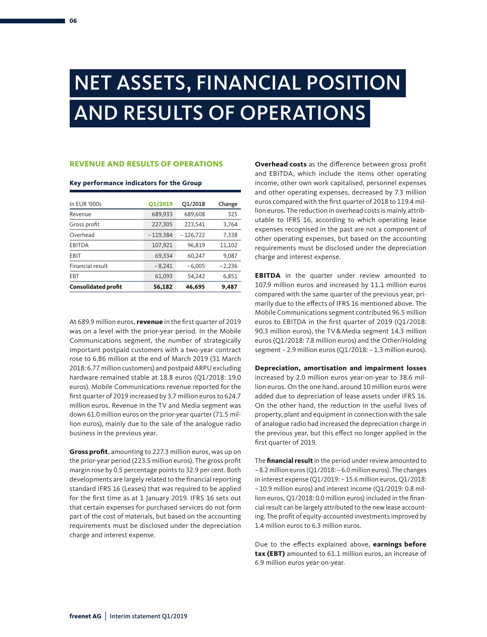## NET ASSETS, FINANCIAL POSITION AND RESULTS OF OPERATIONS

## **REVENUE AND RESULTS OF OPERATIONS**

#### **Key performance indicators for the Group**

| In EUR '000s               | Q1/2019    | Q1/2018    | Change   |
|----------------------------|------------|------------|----------|
| Revenue                    | 689,933    | 689,608    | 325      |
| Gross profit               | 227,305    | 223,541    | 3,764    |
| Overhead                   | $-119,384$ | $-126,722$ | 7,338    |
| EBITDA                     | 107,921    | 96,819     | 11,102   |
| EBIT                       | 69,334     | 60,247     | 9,087    |
| Financial result           | $-8,241$   | $-6,005$   | $-2,236$ |
| <b>EBT</b>                 | 61,093     | 54,242     | 6,851    |
| <b>Consolidated profit</b> | 56,182     | 46,695     | 9,487    |

At 689.9 million euros, **revenue** in the first quarter of 2019 was on a level with the prior-year period. In the Mobile Communications segment, the number of strategically important postpaid customers with a two-year contract rose to 6.86 million at the end of March 2019 (31 March 2018: 6.77 million customers) and postpaid ARPU excluding hardware remained stable at 18.8 euros (Q1/2018: 19.0 euros). Mobile Communications revenue reported for the first quarter of 2019 increased by 3.7 million euros to 624.7 million euros. Revenue in the TV and Media segment was down 61.0 million euros on the prior-year quarter (71.5 million euros), mainly due to the sale of the analogue radio business in the previous year.

**Gross profit**, amounting to 227.3 million euros, was up on the prior-year period (223.5 million euros). The gross profit margin rose by 0.5 percentage points to 32.9 per cent. Both developments are largely related to the financial reporting standard IFRS 16 (Leases) that was required to be applied for the first time as at 1 January 2019. IFRS 16 sets out that certain expenses for purchased services do not form part of the cost of materials, but based on the accounting requirements must be disclosed under the depreciation charge and interest expense.

**Overhead costs** as the difference between gross profit and EBITDA, which include the items other operating income, other own work capitalised, personnel expenses and other operating expenses, decreased by 7.3 million euros compared with the first quarter of 2018 to 119.4 million euros. The reduction in overhead costs is mainly attributable to IFRS 16, according to which operating lease expenses recognised in the past are not a component of other operating expenses, but based on the accounting requirements must be disclosed under the depreciation charge and interest expense.

**EBITDA** in the quarter under review amounted to 107.9 million euros and increased by 11.1 million euros compared with the same quarter of the previous year, primarily due to the effects of IFRS 16 mentioned above. The Mobile Communications segment contributed 96.5 million euros to EBITDA in the first quarter of 2019 (Q1/2018: 90.3 million euros), the TV&Media segment 14.3 million euros (Q1/2018: 7.8 million euros) and the Other/Holding segment - 2.9 million euros (Q1/2018: - 1.3 million euros).

#### **Depreciation, amortisation and impairment losses**

increased by 2.0 million euros year-on-year to 38.6 million euros. On the one hand, around 10 million euros were added due to depreciation of lease assets under IFRS 16. On the other hand, the reduction in the useful lives of property, plant and equipment in connection with the sale of analogue radio had increased the depreciation charge in the previous year, but this effect no longer applied in the first quarter of 2019.

The **financial result** in the period under review amounted to –8.2 million euros (Q1/2018: –6.0 million euros). The changes in interest expense (Q1/2019: –15.6 million euros, Q1/2018: –10.9 million euros) and interest income (Q1/2019: 0.8 million euros, Q1/2018: 0.0 million euros) included in the financial result can be largely attributed to the new lease accounting. The profit of equity-accounted investments improved by 1.4 million euros to 6.3 million euros.

Due to the effects explained above, **earnings before tax (EBT)** amounted to 61.1 million euros, an increase of 6.9 million euros year-on-year.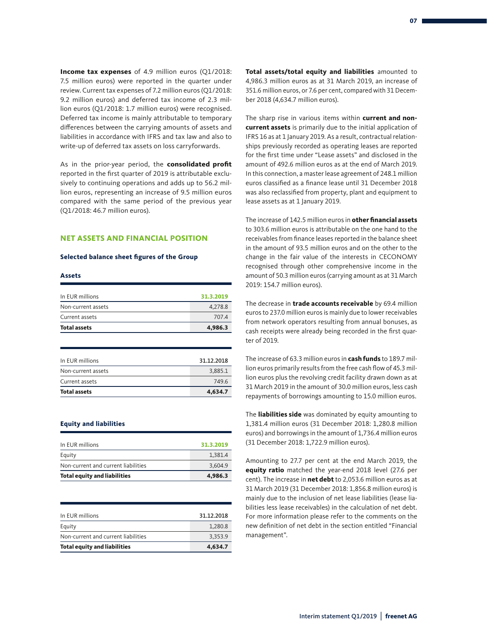**Income tax expenses** of 4.9 million euros (Q1/2018: 7.5 million euros) were reported in the quarter under review. Current tax expenses of 7.2 million euros (Q1/2018: 9.2 million euros) and deferred tax income of 2.3 million euros (Q1/2018: 1.7 million euros) were recognised. Deferred tax income is mainly attributable to temporary differences between the carrying amounts of assets and liabilities in accordance with IFRS and tax law and also to write-up of deferred tax assets on loss carryforwards.

As in the prior-year period, the **consolidated profit**  reported in the first quarter of 2019 is attributable exclusively to continuing operations and adds up to 56.2 million euros, representing an increase of 9.5 million euros compared with the same period of the previous year (Q1/2018: 46.7 million euros).

#### **NET ASSETS AND FINANCIAL POSITION**

#### **Selected balance sheet figures of the Group**

#### **Assets**

| 4,986.3   |
|-----------|
| 707.4     |
| 4.278.8   |
| 31.3.2019 |
|           |

| 4,634.7    |
|------------|
| 749.6      |
| 3.885.1    |
| 31.12.2018 |
|            |

#### **Equity and liabilities**

| 3.604.9   |
|-----------|
|           |
| 1.381.4   |
| 31.3.2019 |
|           |

| <b>Total equity and liabilities</b> | 4,634.7    |
|-------------------------------------|------------|
| Non-current and current liabilities | 3.353.9    |
| Equity                              | 1.280.8    |
| In EUR millions                     | 31.12.2018 |
|                                     |            |

**Total assets/total equity and liabilities** amounted to 4,986.3 million euros as at 31 March 2019, an increase of 351.6 million euros, or 7.6 per cent, compared with 31 December 2018 (4,634.7 million euros).

The sharp rise in various items within **current and noncurrent assets** is primarily due to the initial application of IFRS 16 as at 1 January 2019. As a result, contractual relationships previously recorded as operating leases are reported for the first time under "Lease assets" and disclosed in the amount of 492.6 million euros as at the end of March 2019. In this connection, a master lease agreement of 248.1 million euros classified as a finance lease until 31 December 2018 was also reclassified from property, plant and equipment to lease assets as at 1 January 2019.

The increase of 142.5 million euros in **other financial assets**  to 303.6 million euros is attributable on the one hand to the receivables from finance leases reported in the balance sheet in the amount of 93.5 million euros and on the other to the change in the fair value of the interests in CECONOMY recognised through other comprehensive income in the amount of 50.3 million euros (carrying amount as at 31 March 2019: 154.7 million euros).

The decrease in **trade accounts receivable** by 69.4 million euros to 237.0 million euros is mainly due to lower receivables from network operators resulting from annual bonuses, as cash receipts were already being recorded in the first quarter of 2019.

The increase of 63.3 million euros in **cash funds** to 189.7 million euros primarily results from the free cash flow of 45.3 million euros plus the revolving credit facility drawn down as at 31 March 2019 in the amount of 30.0 million euros, less cash repayments of borrowings amounting to 15.0 million euros.

The **liabilities side** was dominated by equity amounting to 1,381.4 million euros (31 December 2018: 1,280.8 million euros) and borrowings in the amount of 1,736.4 million euros (31 December 2018: 1,722.9 million euros).

Amounting to 27.7 per cent at the end March 2019, the **equity ratio** matched the year-end 2018 level (27.6 per cent). The increase in **net debt** to 2,053.6 million euros as at 31 March 2019 (31 December 2018: 1,856.8 million euros) is mainly due to the inclusion of net lease liabilities (lease liabilities less lease receivables) in the calculation of net debt. For more information please refer to the comments on the new definition of net debt in the section entitled "Financial management".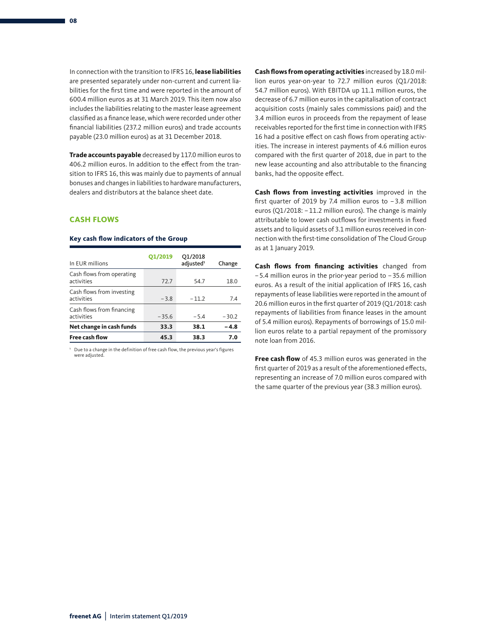In connection with the transition to IFRS 16, **lease liabilities**  are presented separately under non-current and current liabilities for the first time and were reported in the amount of 600.4 million euros as at 31 March 2019. This item now also includes the liabilities relating to the master lease agreement classified as a finance lease, which were recorded under other financial liabilities (237.2 million euros) and trade accounts payable (23.0 million euros) as at 31 December 2018.

**Trade accounts payable** decreased by 117.0 million euros to 406.2 million euros. In addition to the effect from the transition to IFRS 16, this was mainly due to payments of annual bonuses and changes in liabilities to hardware manufacturers, dealers and distributors at the balance sheet date.

### **CASH FLOWS**

#### **Key cash flow indicators of the Group**

| In EUR millions                         | Q1/2019 | Q1/2018<br>adjusted <sup>1</sup> | Change  |
|-----------------------------------------|---------|----------------------------------|---------|
| Cash flows from operating<br>activities | 72.7    | 54.7                             | 18.0    |
| Cash flows from investing<br>activities | $-3.8$  | $-11.2$                          | 7.4     |
| Cash flows from financing<br>activities | $-35.6$ | $-5.4$                           | $-30.2$ |
| Net change in cash funds                | 33.3    | 38.1                             | $-4.8$  |
| <b>Free cash flow</b>                   | 45.3    | 38.3                             | 7.0     |

1 Due to a change in the definition of free cash flow, the previous year's figures were adjusted.

**Cash flows from operating activities** increased by 18.0 million euros year-on-year to 72.7 million euros (Q1/2018: 54.7 million euros). With EBITDA up 11.1 million euros, the decrease of 6.7 million euros in the capitalisation of contract acquisition costs (mainly sales commissions paid) and the 3.4 million euros in proceeds from the repayment of lease receivables reported for the first time in connection with IFRS 16 had a positive effect on cash flows from operating activities. The increase in interest payments of 4.6 million euros compared with the first quarter of 2018, due in part to the new lease accounting and also attributable to the financing banks, had the opposite effect.

**Cash flows from investing activities** improved in the first quarter of 2019 by 7.4 million euros to –3.8 million euros (Q1/2018: –11.2 million euros). The change is mainly attributable to lower cash outflows for investments in fixed assets and to liquid assets of 3.1 million euros received in connection with the first-time consolidation of The Cloud Group as at 1 January 2019.

**Cash flows from financing activities** changed from –5.4 million euros in the prior-year period to –35.6 million euros. As a result of the initial application of IFRS 16, cash repayments of lease liabilities were reported in the amount of 20.6 million euros in the first quarter of 2019 (Q1/2018: cash repayments of liabilities from finance leases in the amount of 5.4 million euros). Repayments of borrowings of 15.0 million euros relate to a partial repayment of the promissory note loan from 2016.

**Free cash flow** of 45.3 million euros was generated in the first quarter of 2019 as a result of the aforementioned effects, representing an increase of 7.0 million euros compared with the same quarter of the previous year (38.3 million euros).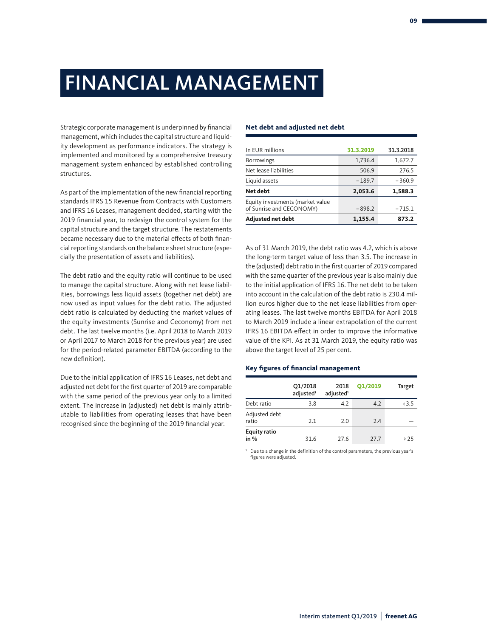Strategic corporate management is underpinned by financial management, which includes the capital structure and liquidity development as performance indicators. The strategy is implemented and monitored by a comprehensive treasury management system enhanced by established controlling structures.

As part of the implementation of the new financial reporting standards IFRS 15 Revenue from Contracts with Customers and IFRS 16 Leases, management decided, starting with the 2019 financial year, to redesign the control system for the capital structure and the target structure. The restatements became necessary due to the material effects of both financial reporting standards on the balance sheet structure (especially the presentation of assets and liabilities).

The debt ratio and the equity ratio will continue to be used to manage the capital structure. Along with net lease liabilities, borrowings less liquid assets (together net debt) are now used as input values for the debt ratio. The adjusted debt ratio is calculated by deducting the market values of the equity investments (Sunrise and Ceconomy) from net debt. The last twelve months (i.e. April 2018 to March 2019 or April 2017 to March 2018 for the previous year) are used for the period-related parameter EBITDA (according to the new definition).

Due to the initial application of IFRS 16 Leases, net debt and adjusted net debt for the first quarter of 2019 are comparable with the same period of the previous year only to a limited extent. The increase in (adjusted) net debt is mainly attributable to liabilities from operating leases that have been recognised since the beginning of the 2019 financial year.

#### **Net debt and adjusted net debt**

| In EUR millions                                              | 31.3.2019 | 31.3.2018 |
|--------------------------------------------------------------|-----------|-----------|
| <b>Borrowings</b>                                            | 1,736.4   | 1,672.7   |
| Net lease liabilities                                        | 506.9     | 276.5     |
| Liquid assets                                                | $-189.7$  | $-360.9$  |
| Net debt                                                     | 2,053.6   | 1,588.3   |
| Equity investments (market value<br>of Sunrise and CECONOMY) | $-898.2$  | $-715.1$  |
| <b>Adjusted net debt</b>                                     | 1,155.4   | 873.2     |

As of 31 March 2019, the debt ratio was 4.2, which is above the long-term target value of less than 3.5. The increase in the (adjusted) debt ratio in the first quarter of 2019 compared with the same quarter of the previous year is also mainly due to the initial application of IFRS 16. The net debt to be taken into account in the calculation of the debt ratio is 230.4 million euros higher due to the net lease liabilities from operating leases. The last twelve months EBITDA for April 2018 to March 2019 include a linear extrapolation of the current IFRS 16 EBITDA effect in order to improve the informative value of the KPI. As at 31 March 2019, the equity ratio was above the target level of 25 per cent.

#### **Key figures of financial management**

|                             | Q1/2018<br>adjusted <sup>1</sup> | 2018<br>adjusted <sup>1</sup> | Q1/2019 | <b>Target</b> |
|-----------------------------|----------------------------------|-------------------------------|---------|---------------|
| Debt ratio                  | 3.8                              | 4.2                           | 4.2     | <3.5          |
| Adjusted debt<br>ratio      | 2.1                              | 2.0                           | 2.4     |               |
| <b>Equity ratio</b><br>in % | 31.6                             | 27.6                          | 27.7    | >25           |

1 Due to a change in the definition of the control parameters, the previous year's figures were adjusted.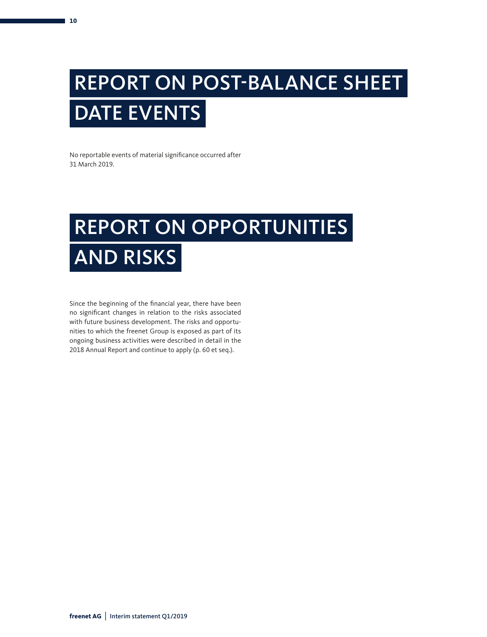## REPORT ON POST-BALANCE SHEET DATE EVENTS

No reportable events of material significance occurred after 31 March 2019.

## REPORT ON OPPORTUNITIES AND RISKS

Since the beginning of the financial year, there have been no significant changes in relation to the risks associated with future business development. The risks and opportunities to which the freenet Group is exposed as part of its ongoing business activities were described in detail in the 2018 Annual Report and continue to apply (p. 60 et seq.).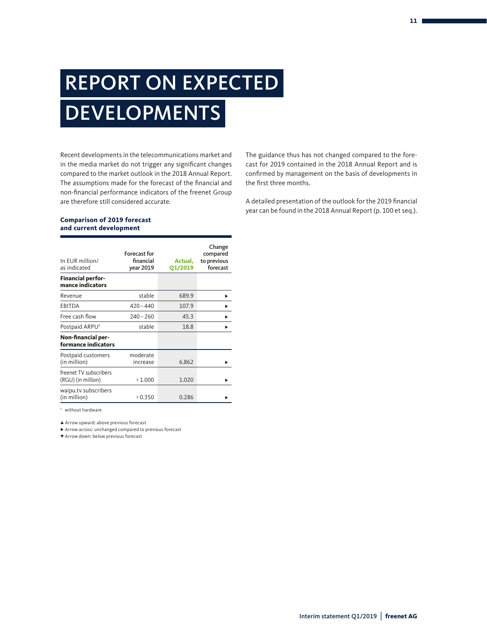## REPORT ON EXPECTED **DEVELOPMENTS**

Recent developments in the telecommunications market and in the media market do not trigger any significant changes compared to the market outlook in the 2018 Annual Report. The assumptions made for the forecast of the financial and non-financial performance indicators of the freenet Group are therefore still considered accurate.

The guidance thus has not changed compared to the forecast for 2019 contained in the 2018 Annual Report and is confirmed by management on the basis of developments in the first three months.

A detailed presentation of the outlook for the 2019 financial year can be found in the 2018 Annual Report (p. 100 et seq.).

#### **Comparison of 2019 forecast and current development**

| In EUR million/<br>as indicated              | <b>Forecast for</b><br>financial<br>year 2019 | Actual,<br>Q1/2019 | Change<br>compared<br>to previous<br>forecast |
|----------------------------------------------|-----------------------------------------------|--------------------|-----------------------------------------------|
| <b>Financial perfor-</b><br>mance indicators |                                               |                    |                                               |
| Revenue                                      | stable                                        | 689.9              |                                               |
| EBITDA                                       | $420 - 440$                                   | 107.9              |                                               |
| Free cash flow                               | $240 - 260$                                   | 45.3               |                                               |
| Postpaid ARPU <sup>1</sup>                   | stable                                        | 18.8               |                                               |
| Non-financial per-<br>formance indicators    |                                               |                    |                                               |
| Postpaid customers<br>(in million)           | moderate<br>increase                          | 6.862              |                                               |
| freenet TV subscribers<br>(RGU) (in million) | >1.000                                        | 1.020              |                                               |
| waipu.tv subscribers<br>(in million)         | > 0.350                                       | 0.286              |                                               |

1 without hardware

∏ Arrow upward: above previous forecast

∑ Arrow across: unchanged compared to previous forecast

π Arrow down: below previous forecast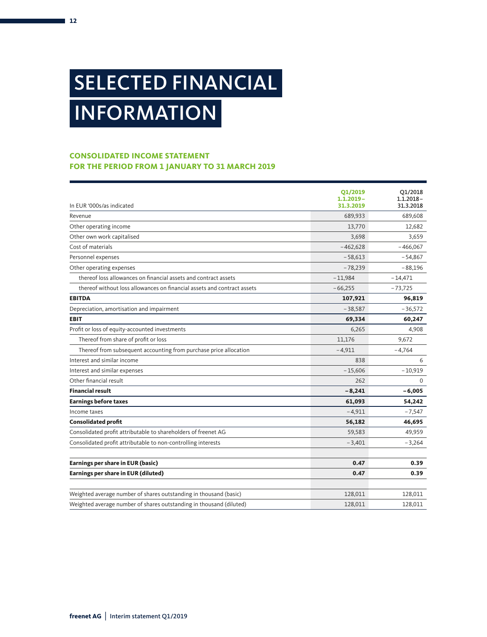## SELECTED FINANCIAL INFORMATION

## **CONSOLIDATED INCOME STATEMENT FOR THE PERIOD FROM 1 JANUARY TO 31 MARCH 2019**

|                                                                         | Q1/2019      | Q1/2018      |
|-------------------------------------------------------------------------|--------------|--------------|
|                                                                         | $1.1.2019 -$ | $1.1.2018 -$ |
| In EUR '000s/as indicated                                               | 31.3.2019    | 31.3.2018    |
| Revenue                                                                 | 689,933      | 689,608      |
| Other operating income                                                  | 13,770       | 12,682       |
| Other own work capitalised                                              | 3,698        | 3,659        |
| Cost of materials                                                       | $-462,628$   | $-466,067$   |
| Personnel expenses                                                      | $-58,613$    | $-54,867$    |
| Other operating expenses                                                | $-78,239$    | $-88,196$    |
| thereof loss allowances on financial assets and contract assets         | $-11,984$    | $-14,471$    |
| thereof without loss allowances on financial assets and contract assets | $-66,255$    | $-73,725$    |
| <b>EBITDA</b>                                                           | 107,921      | 96,819       |
| Depreciation, amortisation and impairment                               | $-38,587$    | $-36,572$    |
| <b>EBIT</b>                                                             | 69,334       | 60,247       |
| Profit or loss of equity-accounted investments                          | 6,265        | 4,908        |
| Thereof from share of profit or loss                                    | 11,176       | 9,672        |
| Thereof from subsequent accounting from purchase price allocation       | $-4,911$     | $-4,764$     |
| Interest and similar income                                             | 838          | 6            |
| Interest and similar expenses                                           | $-15,606$    | $-10,919$    |
| Other financial result                                                  | 262          | $\Omega$     |
| <b>Financial result</b>                                                 | $-8,241$     | $-6,005$     |
| <b>Earnings before taxes</b>                                            | 61,093       | 54,242       |
| Income taxes                                                            | $-4,911$     | $-7,547$     |
| <b>Consolidated profit</b>                                              | 56,182       | 46,695       |
| Consolidated profit attributable to shareholders of freenet AG          | 59,583       | 49,959       |
| Consolidated profit attributable to non-controlling interests           | $-3,401$     | $-3,264$     |
| Earnings per share in EUR (basic)                                       | 0.47         | 0.39         |
| Earnings per share in EUR (diluted)                                     | 0.47         | 0.39         |
| Weighted average number of shares outstanding in thousand (basic)       | 128,011      | 128,011      |
| Weighted average number of shares outstanding in thousand (diluted)     | 128,011      | 128,011      |

**12**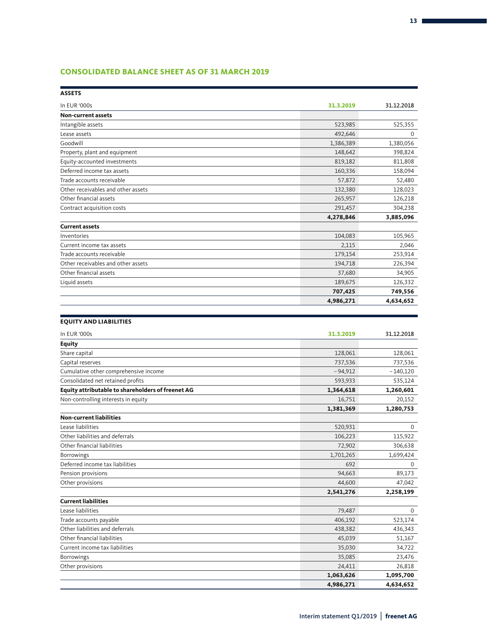## **CONSOLIDATED BALANCE SHEET AS OF 31 MARCH 2019**

| <b>ASSETS</b>                                     |           |            |
|---------------------------------------------------|-----------|------------|
| In EUR '000s                                      | 31.3.2019 | 31.12.2018 |
| <b>Non-current assets</b>                         |           |            |
| Intangible assets                                 | 523,985   | 525,355    |
| Lease assets                                      | 492,646   | 0          |
| Goodwill                                          | 1,386,389 | 1,380,056  |
| Property, plant and equipment                     | 148,642   | 398,824    |
| Equity-accounted investments                      | 819,182   | 811,808    |
| Deferred income tax assets                        | 160,336   | 158,094    |
| Trade accounts receivable                         | 57,872    | 52,480     |
| Other receivables and other assets                | 132,380   | 128,023    |
| Other financial assets                            | 265,957   | 126,218    |
| Contract acquisition costs                        | 291,457   | 304,238    |
|                                                   | 4,278,846 | 3,885,096  |
| <b>Current assets</b>                             |           |            |
| Inventories                                       | 104,083   | 105,965    |
| Current income tax assets                         | 2,115     | 2,046      |
| Trade accounts receivable                         | 179,154   | 253,914    |
| Other receivables and other assets                | 194,718   | 226,394    |
| Other financial assets                            | 37,680    | 34,905     |
| Liquid assets                                     | 189,675   | 126,332    |
|                                                   | 707,425   | 749,556    |
|                                                   | 4,986,271 | 4,634,652  |
|                                                   |           |            |
| <b>EQUITY AND LIABILITIES</b>                     |           |            |
| In EUR '000s                                      | 31.3.2019 | 31.12.2018 |
| <b>Equity</b>                                     |           |            |
| Share capital                                     | 128,061   | 128,061    |
| Capital reserves                                  | 737,536   | 737,536    |
| Cumulative other comprehensive income             | $-94,912$ | $-140,120$ |
| Consolidated net retained profits                 | 593,933   | 535,124    |
| Equity attributable to shareholders of freenet AG | 1,364,618 | 1,260,601  |
| Non-controlling interests in equity               | 16,751    | 20,152     |
|                                                   | 1,381,369 | 1,280,753  |
| <b>Non-current liabilities</b>                    |           |            |
| Lease liabilities                                 | 520,931   | 0          |
| Other liabilities and deferrals                   | 106,223   | 115,922    |
| Other financial liabilities                       | 72,902    | 306,638    |
| Borrowings                                        | 1,701,265 | 1,699,424  |
| Deferred income tax liabilities                   | 692       | 0          |
| Pension provisions                                | 94,663    | 89,173     |
| Other provisions                                  | 44,600    | 47,042     |
|                                                   | 2,541,276 | 2,258,199  |
| <b>Current liabilities</b>                        |           |            |
| Lease liabilities                                 | 79,487    | 0          |
| Trade accounts payable                            | 406,192   | 523,174    |
| Other liabilities and deferrals                   | 438,382   | 436,343    |
| Other financial liabilities                       | 45,039    | 51,167     |
| Current income tax liabilities                    | 35,030    | 34,722     |
| <b>Borrowings</b>                                 | 35,085    | 23,476     |
| Other provisions                                  | 24,411    | 26,818     |
|                                                   | 1,063,626 | 1,095,700  |
|                                                   | 4,986,271 | 4,634,652  |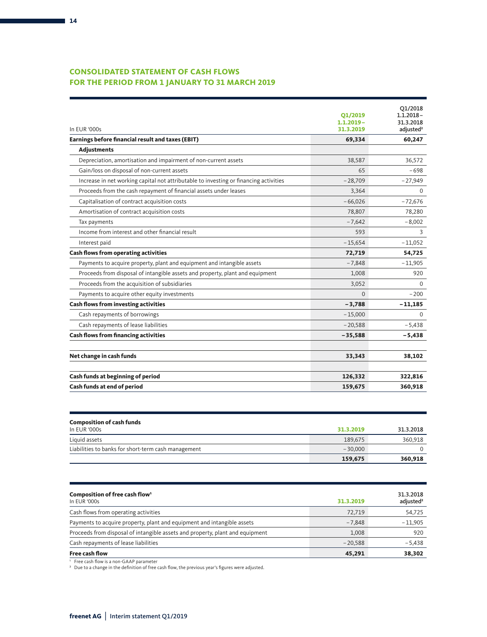## **CONSOLIDATED STATEMENT OF CASH FLOWS FOR THE PERIOD FROM 1 JANUARY TO 31 MARCH 2019**

| In EUR '000s                                                                          | 01/2019<br>$1.1.2019 -$<br>31.3.2019 | Q1/2018<br>$1.1.2018 -$<br>31.3.2018<br>adjusted <sup>2</sup> |
|---------------------------------------------------------------------------------------|--------------------------------------|---------------------------------------------------------------|
| Earnings before financial result and taxes (EBIT)                                     | 69,334                               | 60,247                                                        |
| <b>Adjustments</b>                                                                    |                                      |                                                               |
| Depreciation, amortisation and impairment of non-current assets                       | 38,587                               | 36,572                                                        |
| Gain/loss on disposal of non-current assets                                           | 65                                   | $-698$                                                        |
| Increase in net working capital not attributable to investing or financing activities | $-28,709$                            | $-27,949$                                                     |
| Proceeds from the cash repayment of financial assets under leases                     | 3,364                                | $\Omega$                                                      |
| Capitalisation of contract acquisition costs                                          | $-66,026$                            | $-72,676$                                                     |
| Amortisation of contract acquisition costs                                            | 78,807                               | 78,280                                                        |
| Tax payments                                                                          | $-7.642$                             | $-8,002$                                                      |
| Income from interest and other financial result                                       | 593                                  | 3                                                             |
| Interest paid                                                                         | $-15,654$                            | $-11,052$                                                     |
| <b>Cash flows from operating activities</b>                                           | 72,719                               | 54,725                                                        |
| Payments to acquire property, plant and equipment and intangible assets               | $-7,848$                             | $-11,905$                                                     |
| Proceeds from disposal of intangible assets and property, plant and equipment         | 1,008                                | 920                                                           |
| Proceeds from the acquisition of subsidiaries                                         | 3,052                                | $\Omega$                                                      |
| Payments to acquire other equity investments                                          | $\Omega$                             | $-200$                                                        |
| <b>Cash flows from investing activities</b>                                           | $-3,788$                             | $-11,185$                                                     |
| Cash repayments of borrowings                                                         | $-15,000$                            | $\Omega$                                                      |
| Cash repayments of lease liabilities                                                  | $-20,588$                            | $-5,438$                                                      |
| <b>Cash flows from financing activities</b>                                           | $-35,588$                            | $-5,438$                                                      |
| Net change in cash funds                                                              | 33,343                               | 38,102                                                        |
| Cash funds at beginning of period                                                     | 126,332                              | 322,816                                                       |
| Cash funds at end of period                                                           | 159,675                              | 360,918                                                       |

| <b>Composition of cash funds</b><br>In EUR '000s    | 31.3.2019 | 31.3.2018 |
|-----------------------------------------------------|-----------|-----------|
| Liquid assets                                       | 189.675   | 360,918   |
| Liabilities to banks for short-term cash management | $-30,000$ |           |
|                                                     | 159,675   | 360,918   |

| Composition of free cash flow <sup>1</sup><br>In EUR '000s                    | 31.3.2019 | 31.3.2018<br>adjusted <sup>2</sup> |
|-------------------------------------------------------------------------------|-----------|------------------------------------|
| Cash flows from operating activities                                          | 72,719    | 54,725                             |
| Payments to acquire property, plant and equipment and intangible assets       | $-7.848$  | $-11,905$                          |
| Proceeds from disposal of intangible assets and property, plant and equipment | 1,008     | 920                                |
| Cash repayments of lease liabilities                                          | $-20.588$ | $-5,438$                           |
| <b>Free cash flow</b>                                                         | 45,291    | 38,302                             |

' Free cash flow is a non-GAAP parameter<br>ª Due to a change in the definition of free cash flow, the previous year's figures were adjusted.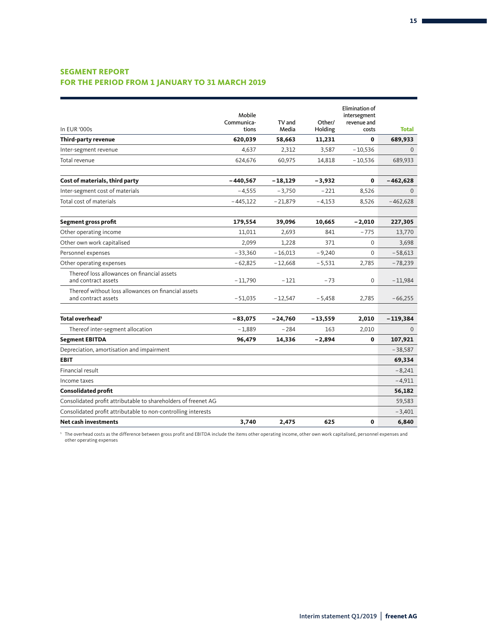## **SEGMENT REPORT FOR THE PERIOD FROM 1 JANUARY TO 31 MARCH 2019**

|                                                                            |            |           |          | <b>Elimination of</b> |              |
|----------------------------------------------------------------------------|------------|-----------|----------|-----------------------|--------------|
|                                                                            | Mobile     |           |          | intersegment          |              |
|                                                                            | Communica- | TV and    | Other/   | revenue and           |              |
| In EUR '000s                                                               | tions      | Media     | Holding  | costs                 | <b>Total</b> |
| Third-party revenue                                                        | 620,039    | 58,663    | 11,231   | $\mathbf{0}$          | 689,933      |
| Inter-segment revenue                                                      | 4,637      | 2,312     | 3,587    | $-10,536$             | $\mathbf{0}$ |
| Total revenue                                                              | 624,676    | 60,975    | 14,818   | $-10,536$             | 689,933      |
| Cost of materials, third party                                             | $-440,567$ | $-18,129$ | $-3,932$ | 0                     | $-462,628$   |
| Inter-segment cost of materials                                            | $-4,555$   | $-3,750$  | $-221$   | 8,526                 | $\Omega$     |
| Total cost of materials                                                    | $-445,122$ | $-21,879$ | $-4,153$ | 8,526                 | $-462,628$   |
| Segment gross profit                                                       | 179,554    | 39,096    | 10,665   | $-2,010$              | 227,305      |
| Other operating income                                                     | 11,011     | 2,693     | 841      | $-775$                | 13,770       |
| Other own work capitalised                                                 | 2,099      | 1,228     | 371      | $\mathbf 0$           | 3,698        |
| Personnel expenses                                                         | $-33,360$  | $-16,013$ | $-9,240$ | $\Omega$              | $-58,613$    |
| Other operating expenses                                                   | $-62.825$  | $-12,668$ | $-5,531$ | 2,785                 | $-78,239$    |
| Thereof loss allowances on financial assets<br>and contract assets         | $-11,790$  | $-121$    | $-73$    | $\mathbf 0$           | $-11,984$    |
| Thereof without loss allowances on financial assets<br>and contract assets | $-51,035$  | $-12,547$ | $-5,458$ | 2,785                 | $-66,255$    |
| Total overhead <sup>1</sup>                                                | $-83,075$  | $-24,760$ | -13,559  | 2,010                 | $-119,384$   |
| Thereof inter-segment allocation                                           | $-1.889$   | $-284$    | 163      | 2,010                 | $\Omega$     |
| <b>Segment EBITDA</b>                                                      | 96,479     | 14,336    | $-2,894$ | 0                     | 107,921      |
| Depreciation, amortisation and impairment                                  |            |           |          |                       | $-38,587$    |
| <b>EBIT</b>                                                                |            |           |          |                       | 69,334       |
| Financial result                                                           |            |           |          |                       | $-8,241$     |
| Income taxes                                                               |            |           |          |                       | $-4,911$     |
| <b>Consolidated profit</b>                                                 |            |           |          |                       | 56,182       |
| Consolidated profit attributable to shareholders of freenet AG             |            |           |          |                       | 59,583       |
| Consolidated profit attributable to non-controlling interests              |            |           |          |                       | $-3,401$     |
| <b>Net cash investments</b>                                                | 3,740      | 2,475     | 625      | 0                     | 6,840        |

'The overhead costs as the difference between gross profit and EBITDA include the items other operating income, other own work capitalised, personnel expenses and<br>other operating expenses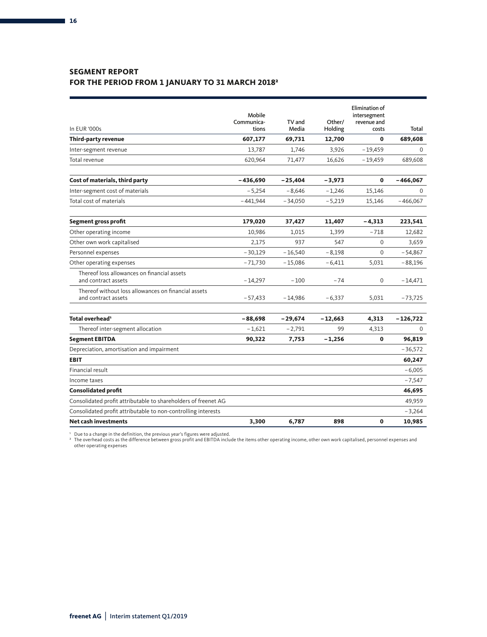## **SEGMENT REPORT FOR THE PERIOD FROM 1 JANUARY TO 31 MARCH 20182**

|                                                                            |                     |                 |                   | Elimination of       |             |
|----------------------------------------------------------------------------|---------------------|-----------------|-------------------|----------------------|-------------|
|                                                                            | Mobile              |                 |                   | intersegment         |             |
| In EUR '000s                                                               | Communica-<br>tions | TV and<br>Media | Other/<br>Holding | revenue and<br>costs | Total       |
| Third-party revenue                                                        | 607,177             | 69,731          | 12,700            | $\mathbf 0$          | 689,608     |
| Inter-segment revenue                                                      | 13,787              | 1,746           | 3,926             | $-19,459$            | $\Omega$    |
| Total revenue                                                              | 620,964             | 71,477          | 16,626            | $-19,459$            | 689,608     |
| Cost of materials, third party                                             | $-436,690$          | $-25,404$       | $-3,973$          | $\mathbf{0}$         | $-466,067$  |
| Inter-segment cost of materials                                            | $-5,254$            | $-8,646$        | $-1,246$          | 15,146               | $\Omega$    |
| Total cost of materials                                                    | $-441,944$          | $-34,050$       | $-5,219$          | 15,146               | $-466,067$  |
| Segment gross profit                                                       | 179,020             | 37,427          | 11,407            | $-4,313$             | 223,541     |
| Other operating income                                                     | 10,986              | 1,015           | 1,399             | $-718$               | 12,682      |
| Other own work capitalised                                                 | 2,175               | 937             | 547               | $\mathbf{0}$         | 3,659       |
| Personnel expenses                                                         | $-30,129$           | $-16,540$       | $-8,198$          | $\Omega$             | $-54,867$   |
| Other operating expenses                                                   | $-71,730$           | $-15,086$       | $-6,411$          | 5,031                | $-88,196$   |
| Thereof loss allowances on financial assets<br>and contract assets         | $-14,297$           | $-100$          | $-74$             | 0                    | $-14,471$   |
| Thereof without loss allowances on financial assets<br>and contract assets | $-57,433$           | $-14,986$       | $-6,337$          | 5,031                | $-73,725$   |
| Total overhead <sup>1</sup>                                                | $-88,698$           | $-29,674$       | - 12,663          | 4,313                | $-126,722$  |
| Thereof inter-segment allocation                                           | $-1,621$            | $-2,791$        | 99                | 4,313                | $\mathbf 0$ |
| <b>Segment EBITDA</b>                                                      | 90,322              | 7,753           | $-1,256$          | 0                    | 96,819      |
| Depreciation, amortisation and impairment                                  |                     |                 |                   |                      | $-36,572$   |
| <b>EBIT</b>                                                                |                     |                 |                   |                      | 60,247      |
| Financial result                                                           |                     |                 |                   |                      | $-6,005$    |
| Income taxes                                                               |                     |                 |                   |                      | $-7,547$    |
| <b>Consolidated profit</b>                                                 |                     |                 |                   |                      | 46,695      |
| Consolidated profit attributable to shareholders of freenet AG             |                     |                 |                   |                      | 49,959      |
| Consolidated profit attributable to non-controlling interests              |                     |                 |                   |                      | $-3,264$    |
| <b>Net cash investments</b>                                                | 3,300               | 6,787           | 898               | $\mathbf 0$          | 10,985      |

' Due to a change in the definition, the previous year's figures were adjusted.<br>↑ The overhead costs as the difference between gross profit and EBITDA include the items other operating income, other own work capitalised,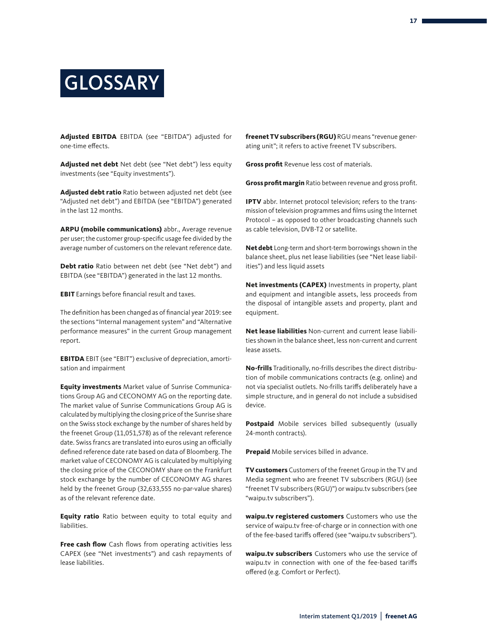## **GLOSSARY**

**Adjusted EBITDA** EBITDA (see "EBITDA") adjusted for one-time effects.

**Adjusted net debt** Net debt (see "Net debt") less equity investments (see "Equity investments").

**Adjusted debt ratio** Ratio between adjusted net debt (see "Adjusted net debt") and EBITDA (see "EBITDA") generated in the last 12 months.

**ARPU (mobile communications)** abbr., Average revenue per user; the customer group-specific usage fee divided by the average number of customers on the relevant reference date.

**Debt ratio** Ratio between net debt (see "Net debt") and EBITDA (see "EBITDA") generated in the last 12 months.

**EBIT** Earnings before financial result and taxes.

The definition has been changed as of financial year 2019: see the sections "Internal management system" and "Alternative performance measures" in the current Group management report.

**EBITDA** EBIT (see "EBIT") exclusive of depreciation, amortisation and impairment

**Equity investments** Market value of Sunrise Communications Group AG and CECONOMY AG on the reporting date. The market value of Sunrise Communications Group AG is calculated by multiplying the closing price of the Sunrise share on the Swiss stock exchange by the number of shares held by the freenet Group (11,051,578) as of the relevant reference date. Swiss francs are translated into euros using an officially defined reference date rate based on data of Bloomberg. The market value of CECONOMY AG is calculated by multiplying the closing price of the CECONOMY share on the Frankfurt stock exchange by the number of CECONOMY AG shares held by the freenet Group (32,633,555 no-par-value shares) as of the relevant reference date.

**Equity ratio** Ratio between equity to total equity and liabilities.

**Free cash flow** Cash flows from operating activities less CAPEX (see "Net investments") and cash repayments of lease liabilities.

**freenet TV subscribers (RGU)** RGU means "revenue generating unit"; it refers to active freenet TV subscribers.

**Gross profit** Revenue less cost of materials.

**Gross profit margin** Ratio between revenue and gross profit.

**IPTV** abbr. Internet protocol television; refers to the transmission of television programmes and films using the Internet Protocol – as opposed to other broadcasting channels such as cable television, DVB-T2 or satellite.

**Net debt** Long-term and short-term borrowings shown in the balance sheet, plus net lease liabilities (see "Net lease liabilities") and less liquid assets

**Net investments (CAPEX)** Investments in property, plant and equipment and intangible assets, less proceeds from the disposal of intangible assets and property, plant and equipment.

**Net lease liabilities** Non-current and current lease liabilities shown in the balance sheet, less non-current and current lease assets.

**No-frills** Traditionally, no-frills describes the direct distribution of mobile communications contracts (e.g. online) and not via specialist outlets. No-frills tariffs deliberately have a simple structure, and in general do not include a subsidised device.

**Postpaid** Mobile services billed subsequently (usually 24-month contracts).

**Prepaid** Mobile services billed in advance.

**TV customers** Customers of the freenet Group in the TV and Media segment who are freenet TV subscribers (RGU) (see "freenet TV subscribers (RGU)") or waipu.tv subscribers (see "waipu.tv subscribers").

**waipu.tv registered customers** Customers who use the service of waipu.tv free-of-charge or in connection with one of the fee-based tariffs offered (see "waipu.tv subscribers").

**waipu.tv subscribers** Customers who use the service of waipu.tv in connection with one of the fee-based tariffs offered (e.g. Comfort or Perfect).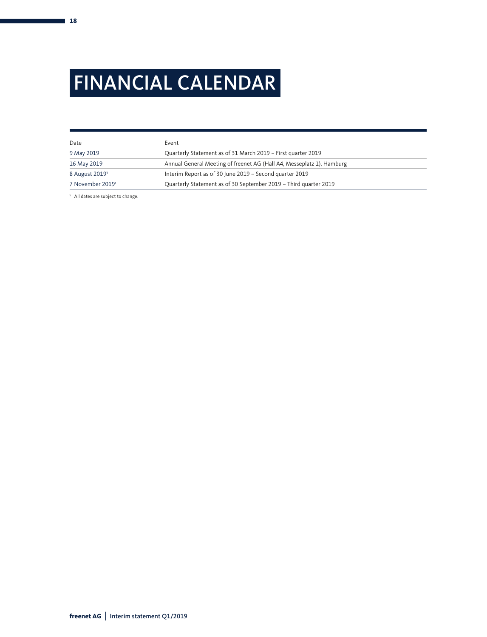## FINANCIAL CALENDAR

| Date                       | Event                                                                 |
|----------------------------|-----------------------------------------------------------------------|
| 9 May 2019                 | Quarterly Statement as of 31 March 2019 - First quarter 2019          |
| 16 May 2019                | Annual General Meeting of freenet AG (Hall A4, Messeplatz 1), Hamburg |
| 8 August 2019 <sup>1</sup> | Interim Report as of 30 June 2019 - Second quarter 2019               |
| 7 November 2019'           | Quarterly Statement as of 30 September 2019 - Third quarter 2019      |

<sup>1</sup> All dates are subject to change.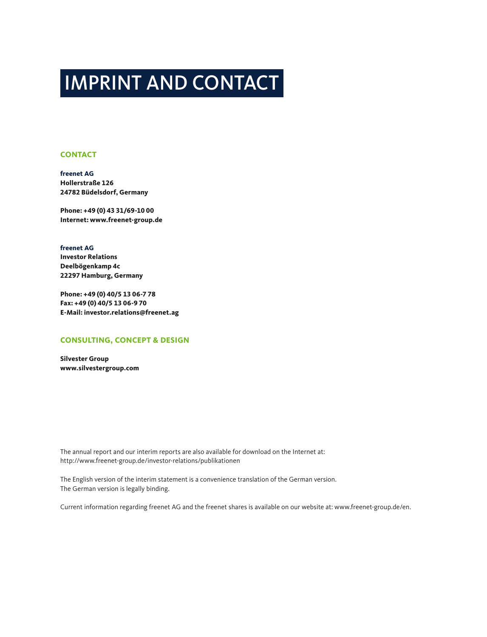## IMPRINT AND CONTACT

### **CONTACT**

**freenet AG Hollerstraße 126 24782 Büdelsdorf, Germany**

**Phone: +49 (0) 43 31/69-10 00 Internet: www.freenet-group.de**

### **freenet AG**

**Investor Relations Deelbögenkamp 4c 22297 Hamburg, Germany**

**Phone: +49 (0) 40/5 13 06-7 78 Fax: +49 (0) 40/5 13 06-9 70 E-Mail: investor.relations@freenet.ag**

### **CONSULTING, CONCEPT & DESIGN**

**Silvester Group www.silvestergroup.com**

The annual report and our interim reports are also available for download on the Internet at: http://www.freenet-group.de/investor-relations/publikationen

The English version of the interim statement is a convenience translation of the German version. The German version is legally binding.

Current information regarding freenet AG and the freenet shares is available on our website at: www.freenet-group.de/en.